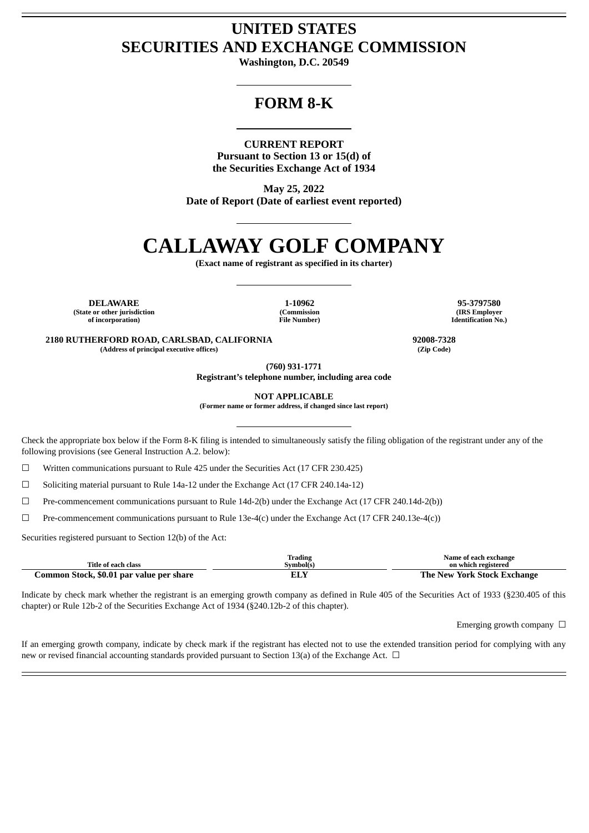# **UNITED STATES SECURITIES AND EXCHANGE COMMISSION**

**Washington, D.C. 20549**

# **FORM 8-K**

### **CURRENT REPORT**

**Pursuant to Section 13 or 15(d) of the Securities Exchange Act of 1934**

**May 25, 2022 Date of Report (Date of earliest event reported)**

# **CALLAWAY GOLF COMPANY**

**(Exact name of registrant as specified in its charter)**

**DELAWARE 1-10962 95-3797580 (State or other jurisdiction of incorporation)**

**(Commission File Number)**

**(IRS Employer Identification No.)**

**2180 RUTHERFORD ROAD, CARLSBAD, CALIFORNIA 92008-7328 (Address of principal executive offices) (Zip Code)**

**(760) 931-1771**

**Registrant's telephone number, including area code**

**NOT APPLICABLE**

**(Former name or former address, if changed since last report)**

Check the appropriate box below if the Form 8-K filing is intended to simultaneously satisfy the filing obligation of the registrant under any of the following provisions (see General Instruction A.2. below):

 $\Box$  Written communications pursuant to Rule 425 under the Securities Act (17 CFR 230.425)

☐ Soliciting material pursuant to Rule 14a-12 under the Exchange Act (17 CFR 240.14a-12)

 $\Box$  Pre-commencement communications pursuant to Rule 14d-2(b) under the Exchange Act (17 CFR 240.14d-2(b))

☐ Pre-commencement communications pursuant to Rule 13e-4(c) under the Exchange Act (17 CFR 240.13e-4(c))

Securities registered pursuant to Section 12(b) of the Act:

| Title of each class                      | Trading<br>Svmbol(s` | Name of each exchange<br>on which registered |
|------------------------------------------|----------------------|----------------------------------------------|
| Common Stock, \$0.01 par value per share | ELY                  | The New York Stock Exchange                  |

Indicate by check mark whether the registrant is an emerging growth company as defined in Rule 405 of the Securities Act of 1933 (§230.405 of this chapter) or Rule 12b-2 of the Securities Exchange Act of 1934 (§240.12b-2 of this chapter).

Emerging growth company  $\Box$ 

If an emerging growth company, indicate by check mark if the registrant has elected not to use the extended transition period for complying with any new or revised financial accounting standards provided pursuant to Section 13(a) of the Exchange Act.  $\Box$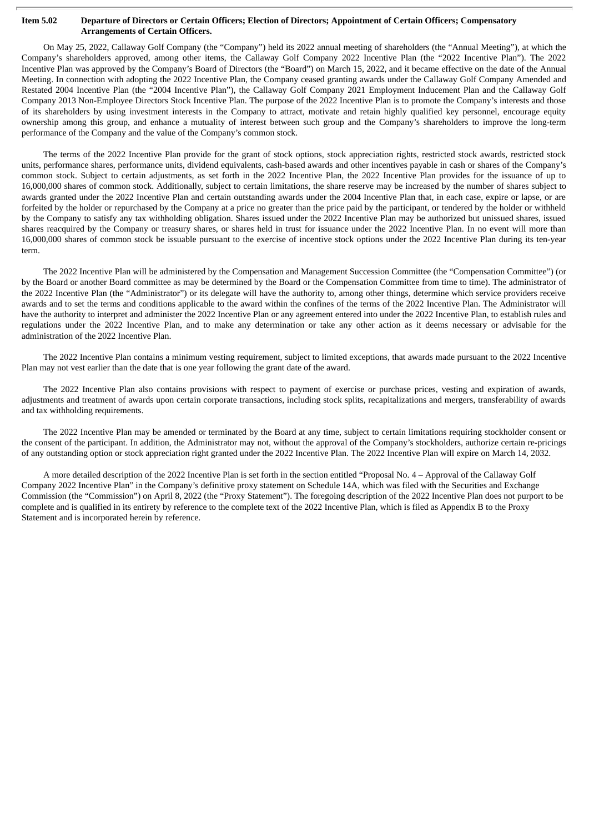#### Item 5.02 Departure of Directors or Certain Officers; Election of Directors; Appointment of Certain Officers; Compensatory **Arrangements of Certain Officers.**

On May 25, 2022, Callaway Golf Company (the "Company") held its 2022 annual meeting of shareholders (the "Annual Meeting"), at which the Company's shareholders approved, among other items, the Callaway Golf Company 2022 Incentive Plan (the "2022 Incentive Plan"). The 2022 Incentive Plan was approved by the Company's Board of Directors (the "Board") on March 15, 2022, and it became effective on the date of the Annual Meeting. In connection with adopting the 2022 Incentive Plan, the Company ceased granting awards under the Callaway Golf Company Amended and Restated 2004 Incentive Plan (the "2004 Incentive Plan"), the Callaway Golf Company 2021 Employment Inducement Plan and the Callaway Golf Company 2013 Non-Employee Directors Stock Incentive Plan. The purpose of the 2022 Incentive Plan is to promote the Company's interests and those of its shareholders by using investment interests in the Company to attract, motivate and retain highly qualified key personnel, encourage equity ownership among this group, and enhance a mutuality of interest between such group and the Company's shareholders to improve the long-term performance of the Company and the value of the Company's common stock.

The terms of the 2022 Incentive Plan provide for the grant of stock options, stock appreciation rights, restricted stock awards, restricted stock units, performance shares, performance units, dividend equivalents, cash-based awards and other incentives payable in cash or shares of the Company's common stock. Subject to certain adjustments, as set forth in the 2022 Incentive Plan, the 2022 Incentive Plan provides for the issuance of up to 16,000,000 shares of common stock. Additionally, subject to certain limitations, the share reserve may be increased by the number of shares subject to awards granted under the 2022 Incentive Plan and certain outstanding awards under the 2004 Incentive Plan that, in each case, expire or lapse, or are forfeited by the holder or repurchased by the Company at a price no greater than the price paid by the participant, or tendered by the holder or withheld by the Company to satisfy any tax withholding obligation. Shares issued under the 2022 Incentive Plan may be authorized but unissued shares, issued shares reacquired by the Company or treasury shares, or shares held in trust for issuance under the 2022 Incentive Plan. In no event will more than 16,000,000 shares of common stock be issuable pursuant to the exercise of incentive stock options under the 2022 Incentive Plan during its ten-year term.

The 2022 Incentive Plan will be administered by the Compensation and Management Succession Committee (the "Compensation Committee") (or by the Board or another Board committee as may be determined by the Board or the Compensation Committee from time to time). The administrator of the 2022 Incentive Plan (the "Administrator") or its delegate will have the authority to, among other things, determine which service providers receive awards and to set the terms and conditions applicable to the award within the confines of the terms of the 2022 Incentive Plan. The Administrator will have the authority to interpret and administer the 2022 Incentive Plan or any agreement entered into under the 2022 Incentive Plan, to establish rules and regulations under the 2022 Incentive Plan, and to make any determination or take any other action as it deems necessary or advisable for the administration of the 2022 Incentive Plan.

The 2022 Incentive Plan contains a minimum vesting requirement, subject to limited exceptions, that awards made pursuant to the 2022 Incentive Plan may not vest earlier than the date that is one year following the grant date of the award.

The 2022 Incentive Plan also contains provisions with respect to payment of exercise or purchase prices, vesting and expiration of awards, adjustments and treatment of awards upon certain corporate transactions, including stock splits, recapitalizations and mergers, transferability of awards and tax withholding requirements.

The 2022 Incentive Plan may be amended or terminated by the Board at any time, subject to certain limitations requiring stockholder consent or the consent of the participant. In addition, the Administrator may not, without the approval of the Company's stockholders, authorize certain re-pricings of any outstanding option or stock appreciation right granted under the 2022 Incentive Plan. The 2022 Incentive Plan will expire on March 14, 2032.

A more detailed description of the 2022 Incentive Plan is set forth in the section entitled "Proposal No. 4 – Approval of the Callaway Golf Company 2022 Incentive Plan" in the Company's definitive proxy statement on Schedule 14A, which was filed with the Securities and Exchange Commission (the "Commission") on April 8, 2022 (the "Proxy Statement"). The foregoing description of the 2022 Incentive Plan does not purport to be complete and is qualified in its entirety by reference to the complete text of the 2022 Incentive Plan, which is filed as Appendix B to the Proxy Statement and is incorporated herein by reference.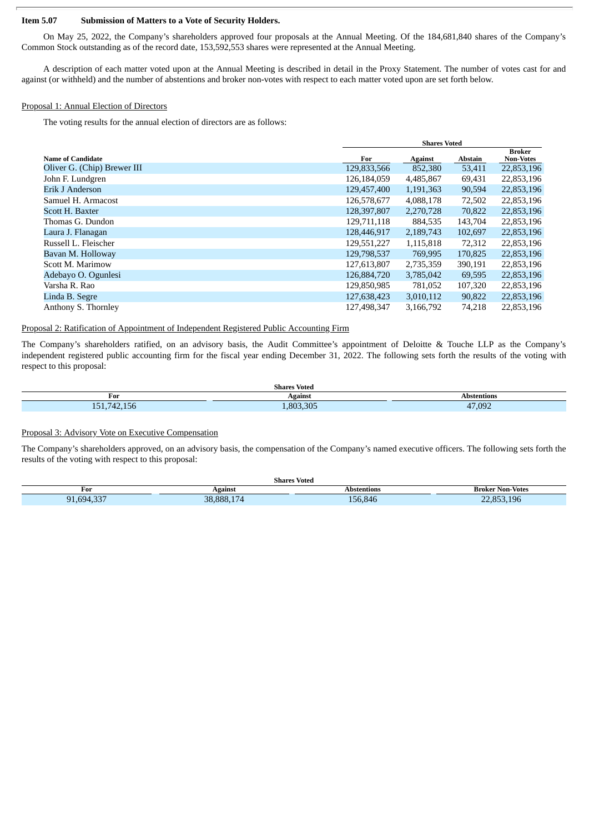#### **Item 5.07 Submission of Matters to a Vote of Security Holders.**

On May 25, 2022, the Company's shareholders approved four proposals at the Annual Meeting. Of the 184,681,840 shares of the Company's Common Stock outstanding as of the record date, 153,592,553 shares were represented at the Annual Meeting.

A description of each matter voted upon at the Annual Meeting is described in detail in the Proxy Statement. The number of votes cast for and against (or withheld) and the number of abstentions and broker non-votes with respect to each matter voted upon are set forth below.

#### Proposal 1: Annual Election of Directors

The voting results for the annual election of directors are as follows:

|                             |             | <b>Shares Voted</b> |         |                                   |
|-----------------------------|-------------|---------------------|---------|-----------------------------------|
| Name of Candidate           | For         | Against             | Abstain | <b>Broker</b><br><b>Non-Votes</b> |
| Oliver G. (Chip) Brewer III | 129,833,566 | 852,380             | 53,411  | 22,853,196                        |
| John F. Lundgren            | 126,184,059 | 4,485,867           | 69,431  | 22,853,196                        |
| Erik J Anderson             | 129,457,400 | 1,191,363           | 90,594  | 22,853,196                        |
| Samuel H. Armacost          | 126,578,677 | 4,088,178           | 72,502  | 22,853,196                        |
| Scott H. Baxter             | 128,397,807 | 2,270,728           | 70,822  | 22,853,196                        |
| Thomas G. Dundon            | 129,711,118 | 884,535             | 143,704 | 22,853,196                        |
| Laura J. Flanagan           | 128,446,917 | 2,189,743           | 102,697 | 22,853,196                        |
| Russell L. Fleischer        | 129,551,227 | 1,115,818           | 72,312  | 22,853,196                        |
| Bavan M. Holloway           | 129,798,537 | 769,995             | 170,825 | 22,853,196                        |
| Scott M. Marimow            | 127,613,807 | 2,735,359           | 390,191 | 22,853,196                        |
| Adebayo O. Ogunlesi         | 126,884,720 | 3,785,042           | 69,595  | 22,853,196                        |
| Varsha R. Rao               | 129,850,985 | 781,052             | 107,320 | 22,853,196                        |
| Linda B. Segre              | 127,638,423 | 3,010,112           | 90,822  | 22,853,196                        |
| Anthony S. Thornley         | 127,498,347 | 3,166,792           | 74,218  | 22,853,196                        |

#### Proposal 2: Ratification of Appointment of Independent Registered Public Accounting Firm

The Company's shareholders ratified, on an advisory basis, the Audit Committee's appointment of Deloitte & Touche LLP as the Company's independent registered public accounting firm for the fiscal year ending December 31, 2022. The following sets forth the results of the voting with respect to this proposal:

|                                                                                                              | <b>Shares Voted</b> |            |
|--------------------------------------------------------------------------------------------------------------|---------------------|------------|
| For                                                                                                          | Against             | hetentione |
| $\rightarrow$ $\rightarrow$ $\rightarrow$<br>$\overline{\phantom{a}}$<br>151<br>0∪.<br>$-1$ $-1$ $-1$<br>. . | .803.305            | 47,092     |

#### Proposal 3: Advisory Vote on Executive Compensation

The Company's shareholders approved, on an advisory basis, the compensation of the Company's named executive officers. The following sets forth the results of the voting with respect to this proposal:

|                                      |                         | <b>Shares Voted</b>  |                                |
|--------------------------------------|-------------------------|----------------------|--------------------------------|
| For                                  | Agains.                 | Abstentions          | <b>Broker Non-Votes</b>        |
| $n -$<br>Q1<br>ьu.<br>. . <i>. .</i> | 888<br><b>STAR</b><br>⋘ | 0.40<br>.84t<br>. 5Þ | 100<br><b>OE</b><br>n,<br>1.9E |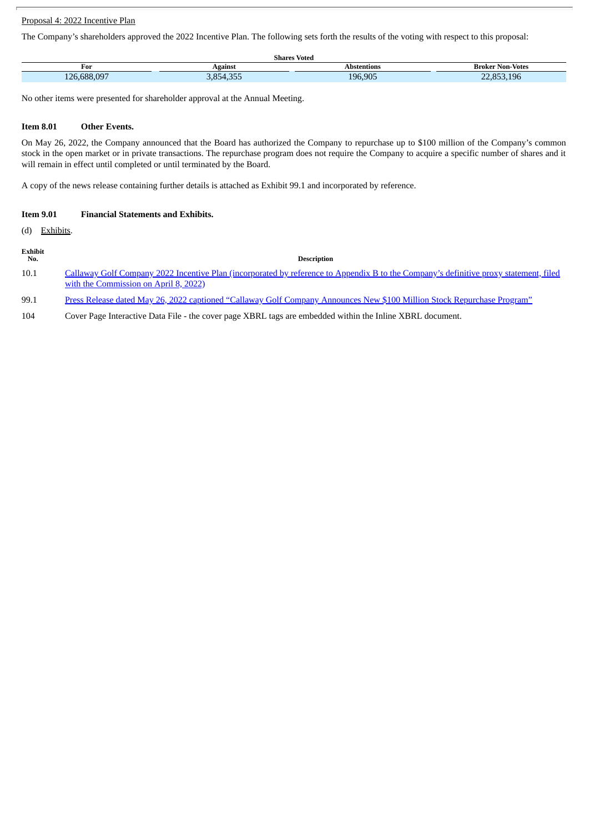# Proposal 4: 2022 Incentive Plan

The Company's shareholders approved the 2022 Incentive Plan. The following sets forth the results of the voting with respect to this proposal:

|                                                        |                          | $ -$<br>Shares Voted |                         |
|--------------------------------------------------------|--------------------------|----------------------|-------------------------|
| For                                                    | Agains                   | Abstentions          | <b>Broker Non-Votes</b> |
| 0.007<br>688<br>$1 \cap C$<br>,,,,,,,,,,<br><b>. .</b> | DEF<br>$\cap$<br>⊿ר<br>. | 196.905              | 353.196<br>OED<br>~~    |

No other items were presented for shareholder approval at the Annual Meeting.

#### **Item 8.01 Other Events.**

On May 26, 2022, the Company announced that the Board has authorized the Company to repurchase up to \$100 million of the Company's common stock in the open market or in private transactions. The repurchase program does not require the Company to acquire a specific number of shares and it will remain in effect until completed or until terminated by the Board.

A copy of the news release containing further details is attached as Exhibit 99.1 and incorporated by reference.

| <b>Item 9.01</b> | <b>Financial Statements and Exhibits.</b> |  |
|------------------|-------------------------------------------|--|
|------------------|-------------------------------------------|--|

(d) Exhibits.

| Exhibit<br>No.  | Description                                                                                                                                                                                                                                                                                                                                                             |
|-----------------|-------------------------------------------------------------------------------------------------------------------------------------------------------------------------------------------------------------------------------------------------------------------------------------------------------------------------------------------------------------------------|
| 10.1            | Callaway Golf Company 2022 Incentive Plan (incorporated by reference to Appendix B to the Company's definitive proxy statement, filed                                                                                                                                                                                                                                   |
|                 | with the Commission on April 8, 2022)                                                                                                                                                                                                                                                                                                                                   |
| 00 <sub>1</sub> | $\mathbf{n}$ , $\mathbf{n}$ , $\mathbf{l}$ , $\mathbf{l}$ , $\mathbf{l}$ , $\mathbf{n}$ , $\mathbf{n}$ , $\mathbf{n}$ , $\mathbf{n}$ , $\mathbf{n}$ , $\mathbf{l}$ , $\mathbf{n}$ , $\mathbf{n}$ , $\mathbf{n}$ , $\mathbf{n}$ , $\mathbf{n}$ , $\mathbf{n}$ , $\mathbf{n}$ , $\mathbf{n}$ , $\mathbf{n}$ , $\mathbf{n}$ , $\mathbf{n}$ , $\mathbf{n}$ , $\mathbf{n}$ , |

99.1 Press Release dated May 26, 2022 captioned "Callaway Golf Company Announces New \$100 Million Stock [Repurchase](#page-5-0) Program"

104 Cover Page Interactive Data File - the cover page XBRL tags are embedded within the Inline XBRL document.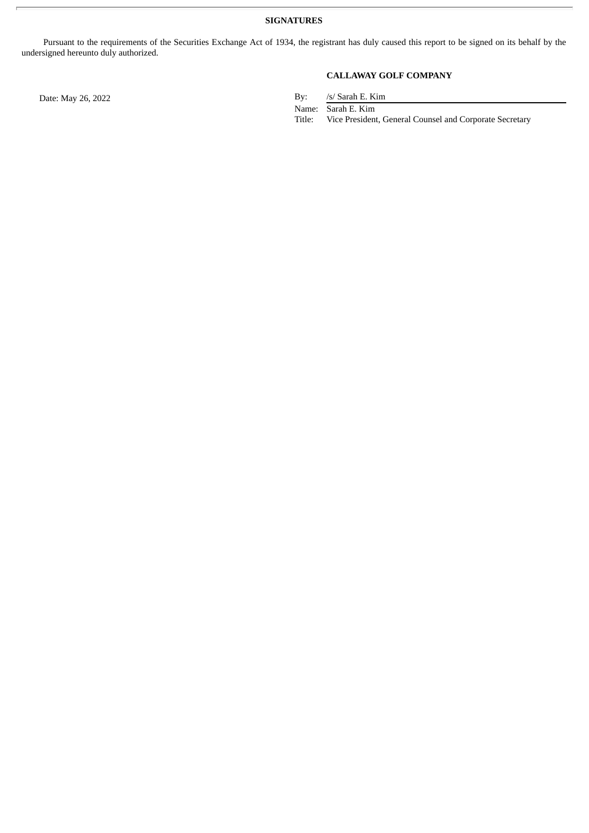Pursuant to the requirements of the Securities Exchange Act of 1934, the registrant has duly caused this report to be signed on its behalf by the undersigned hereunto duly authorized.

## **CALLAWAY GOLF COMPANY**

Date: May 26, 2022 By: /s/ Sarah E. Kim

Name: Sarah E. Kim

Title: Vice President, General Counsel and Corporate Secretary